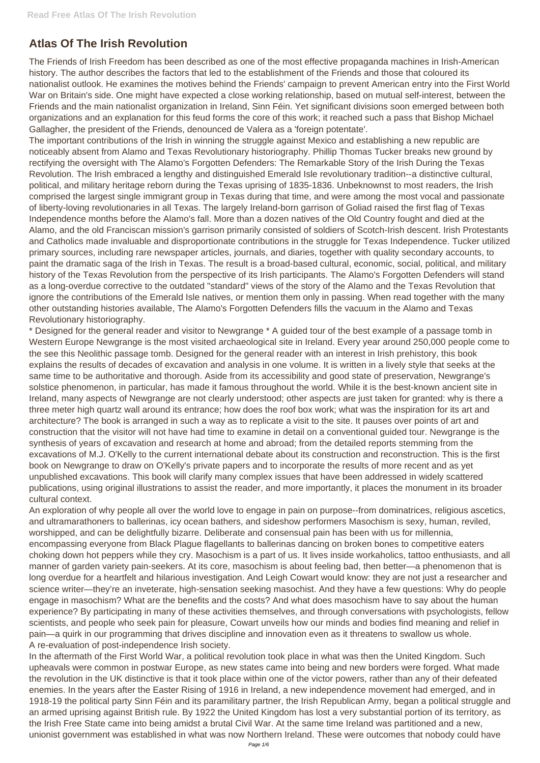## **Atlas Of The Irish Revolution**

The Friends of Irish Freedom has been described as one of the most effective propaganda machines in Irish-American history. The author describes the factors that led to the establishment of the Friends and those that coloured its nationalist outlook. He examines the motives behind the Friends' campaign to prevent American entry into the First World War on Britain's side. One might have expected a close working relationship, based on mutual self-interest, between the Friends and the main nationalist organization in Ireland, Sinn Féin. Yet significant divisions soon emerged between both organizations and an explanation for this feud forms the core of this work; it reached such a pass that Bishop Michael Gallagher, the president of the Friends, denounced de Valera as a 'foreign potentate'.

The important contributions of the Irish in winning the struggle against Mexico and establishing a new republic are noticeably absent from Alamo and Texas Revolutionary historiography. Phillip Thomas Tucker breaks new ground by rectifying the oversight with The Alamo's Forgotten Defenders: The Remarkable Story of the Irish During the Texas Revolution. The Irish embraced a lengthy and distinguished Emerald Isle revolutionary tradition--a distinctive cultural, political, and military heritage reborn during the Texas uprising of 1835-1836. Unbeknownst to most readers, the Irish comprised the largest single immigrant group in Texas during that time, and were among the most vocal and passionate of liberty-loving revolutionaries in all Texas. The largely Ireland-born garrison of Goliad raised the first flag of Texas Independence months before the Alamo's fall. More than a dozen natives of the Old Country fought and died at the Alamo, and the old Franciscan mission's garrison primarily consisted of soldiers of Scotch-Irish descent. Irish Protestants and Catholics made invaluable and disproportionate contributions in the struggle for Texas Independence. Tucker utilized primary sources, including rare newspaper articles, journals, and diaries, together with quality secondary accounts, to paint the dramatic saga of the Irish in Texas. The result is a broad-based cultural, economic, social, political, and military history of the Texas Revolution from the perspective of its Irish participants. The Alamo's Forgotten Defenders will stand as a long-overdue corrective to the outdated "standard" views of the story of the Alamo and the Texas Revolution that ignore the contributions of the Emerald Isle natives, or mention them only in passing. When read together with the many other outstanding histories available, The Alamo's Forgotten Defenders fills the vacuum in the Alamo and Texas Revolutionary historiography.

\* Designed for the general reader and visitor to Newgrange \* A guided tour of the best example of a passage tomb in Western Europe Newgrange is the most visited archaeological site in Ireland. Every year around 250,000 people come to the see this Neolithic passage tomb. Designed for the general reader with an interest in Irish prehistory, this book explains the results of decades of excavation and analysis in one volume. It is written in a lively style that seeks at the same time to be authoritative and thorough. Aside from its accessibility and good state of preservation, Newgrange's solstice phenomenon, in particular, has made it famous throughout the world. While it is the best-known ancient site in Ireland, many aspects of Newgrange are not clearly understood; other aspects are just taken for granted: why is there a three meter high quartz wall around its entrance; how does the roof box work; what was the inspiration for its art and architecture? The book is arranged in such a way as to replicate a visit to the site. It pauses over points of art and construction that the visitor will not have had time to examine in detail on a conventional guided tour. Newgrange is the synthesis of years of excavation and research at home and abroad; from the detailed reports stemming from the excavations of M.J. O'Kelly to the current international debate about its construction and reconstruction. This is the first book on Newgrange to draw on O'Kelly's private papers and to incorporate the results of more recent and as yet unpublished excavations. This book will clarify many complex issues that have been addressed in widely scattered publications, using original illustrations to assist the reader, and more importantly, it places the monument in its broader cultural context.

An exploration of why people all over the world love to engage in pain on purpose--from dominatrices, religious ascetics, and ultramarathoners to ballerinas, icy ocean bathers, and sideshow performers Masochism is sexy, human, reviled, worshipped, and can be delightfully bizarre. Deliberate and consensual pain has been with us for millennia, encompassing everyone from Black Plague flagellants to ballerinas dancing on broken bones to competitive eaters choking down hot peppers while they cry. Masochism is a part of us. It lives inside workaholics, tattoo enthusiasts, and all manner of garden variety pain-seekers. At its core, masochism is about feeling bad, then better—a phenomenon that is long overdue for a heartfelt and hilarious investigation. And Leigh Cowart would know: they are not just a researcher and science writer—they're an inveterate, high-sensation seeking masochist. And they have a few questions: Why do people engage in masochism? What are the benefits and the costs? And what does masochism have to say about the human experience? By participating in many of these activities themselves, and through conversations with psychologists, fellow scientists, and people who seek pain for pleasure, Cowart unveils how our minds and bodies find meaning and relief in pain—a quirk in our programming that drives discipline and innovation even as it threatens to swallow us whole. A re-evaluation of post-independence Irish society. In the aftermath of the First World War, a political revolution took place in what was then the United Kingdom. Such upheavals were common in postwar Europe, as new states came into being and new borders were forged. What made the revolution in the UK distinctive is that it took place within one of the victor powers, rather than any of their defeated enemies. In the years after the Easter Rising of 1916 in Ireland, a new independence movement had emerged, and in 1918-19 the political party Sinn Féin and its paramilitary partner, the Irish Republican Army, began a political struggle and an armed uprising against British rule. By 1922 the United Kingdom has lost a very substantial portion of its territory, as the Irish Free State came into being amidst a brutal Civil War. At the same time Ireland was partitioned and a new, unionist government was established in what was now Northern Ireland. These were outcomes that nobody could have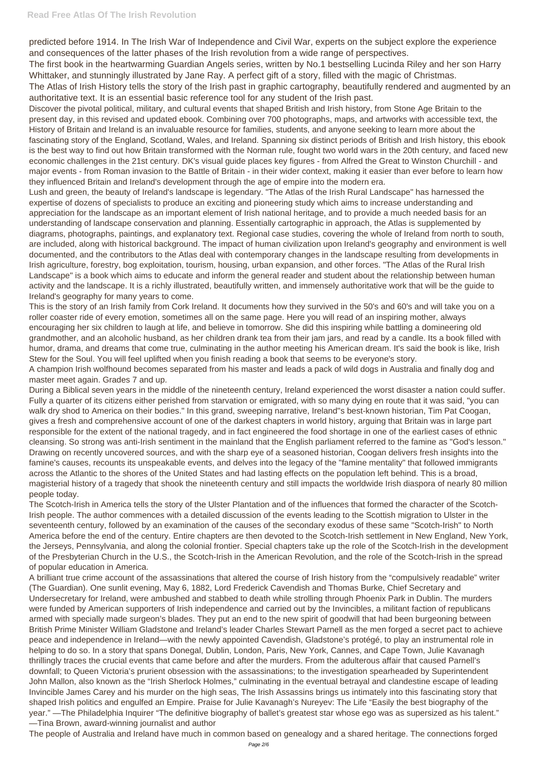predicted before 1914. In The Irish War of Independence and Civil War, experts on the subject explore the experience and consequences of the latter phases of the Irish revolution from a wide range of perspectives.

The first book in the heartwarming Guardian Angels series, written by No.1 bestselling Lucinda Riley and her son Harry Whittaker, and stunningly illustrated by Jane Ray. A perfect gift of a story, filled with the magic of Christmas.

The Atlas of Irish History tells the story of the Irish past in graphic cartography, beautifully rendered and augmented by an authoritative text. It is an essential basic reference tool for any student of the Irish past.

Discover the pivotal political, military, and cultural events that shaped British and Irish history, from Stone Age Britain to the present day, in this revised and updated ebook. Combining over 700 photographs, maps, and artworks with accessible text, the History of Britain and Ireland is an invaluable resource for families, students, and anyone seeking to learn more about the fascinating story of the England, Scotland, Wales, and Ireland. Spanning six distinct periods of British and Irish history, this ebook is the best way to find out how Britain transformed with the Norman rule, fought two world wars in the 20th century, and faced new economic challenges in the 21st century. DK's visual guide places key figures - from Alfred the Great to Winston Churchill - and major events - from Roman invasion to the Battle of Britain - in their wider context, making it easier than ever before to learn how they influenced Britain and Ireland's development through the age of empire into the modern era.

Lush and green, the beauty of Ireland's landscape is legendary. "The Atlas of the Irish Rural Landscape" has harnessed the expertise of dozens of specialists to produce an exciting and pioneering study which aims to increase understanding and appreciation for the landscape as an important element of Irish national heritage, and to provide a much needed basis for an understanding of landscape conservation and planning. Essentially cartographic in approach, the Atlas is supplemented by diagrams, photographs, paintings, and explanatory text. Regional case studies, covering the whole of Ireland from north to south, are included, along with historical background. The impact of human civilization upon Ireland's geography and environment is well documented, and the contributors to the Atlas deal with contemporary changes in the landscape resulting from developments in Irish agriculture, forestry, bog exploitation, tourism, housing, urban expansion, and other forces. "The Atlas of the Rural Irish Landscape" is a book which aims to educate and inform the general reader and student about the relationship between human activity and the landscape. It is a richly illustrated, beautifully written, and immensely authoritative work that will be the guide to Ireland's geography for many years to come.

This is the story of an Irish family from Cork Ireland. It documents how they survived in the 50's and 60's and will take you on a roller coaster ride of every emotion, sometimes all on the same page. Here you will read of an inspiring mother, always encouraging her six children to laugh at life, and believe in tomorrow. She did this inspiring while battling a domineering old grandmother, and an alcoholic husband, as her children drank tea from their jam jars, and read by a candle. Its a book filled with humor, drama, and dreams that come true, culminating in the author meeting his American dream. It's said the book is like, Irish Stew for the Soul. You will feel uplifted when you finish reading a book that seems to be everyone's story.

A champion Irish wolfhound becomes separated from his master and leads a pack of wild dogs in Australia and finally dog and master meet again. Grades 7 and up.

During a Biblical seven years in the middle of the nineteenth century, Ireland experienced the worst disaster a nation could suffer. Fully a quarter of its citizens either perished from starvation or emigrated, with so many dying en route that it was said, "you can walk dry shod to America on their bodies." In this grand, sweeping narrative, Ireland''s best-known historian, Tim Pat Coogan, gives a fresh and comprehensive account of one of the darkest chapters in world history, arguing that Britain was in large part responsible for the extent of the national tragedy, and in fact engineered the food shortage in one of the earliest cases of ethnic cleansing. So strong was anti-Irish sentiment in the mainland that the English parliament referred to the famine as "God's lesson." Drawing on recently uncovered sources, and with the sharp eye of a seasoned historian, Coogan delivers fresh insights into the famine's causes, recounts its unspeakable events, and delves into the legacy of the "famine mentality" that followed immigrants across the Atlantic to the shores of the United States and had lasting effects on the population left behind. This is a broad, magisterial history of a tragedy that shook the nineteenth century and still impacts the worldwide Irish diaspora of nearly 80 million people today.

The Scotch-Irish in America tells the story of the Ulster Plantation and of the influences that formed the character of the Scotch-Irish people. The author commences with a detailed discussion of the events leading to the Scottish migration to Ulster in the seventeenth century, followed by an examination of the causes of the secondary exodus of these same "Scotch-Irish" to North America before the end of the century. Entire chapters are then devoted to the Scotch-Irish settlement in New England, New York, the Jerseys, Pennsylvania, and along the colonial frontier. Special chapters take up the role of the Scotch-Irish in the development of the Presbyterian Church in the U.S., the Scotch-Irish in the American Revolution, and the role of the Scotch-Irish in the spread of popular education in America.

A brilliant true crime account of the assassinations that altered the course of Irish history from the "compulsively readable" writer (The Guardian). One sunlit evening, May 6, 1882, Lord Frederick Cavendish and Thomas Burke, Chief Secretary and Undersecretary for Ireland, were ambushed and stabbed to death while strolling through Phoenix Park in Dublin. The murders were funded by American supporters of Irish independence and carried out by the Invincibles, a militant faction of republicans armed with specially made surgeon's blades. They put an end to the new spirit of goodwill that had been burgeoning between British Prime Minister William Gladstone and Ireland's leader Charles Stewart Parnell as the men forged a secret pact to achieve peace and independence in Ireland—with the newly appointed Cavendish, Gladstone's protégé, to play an instrumental role in helping to do so. In a story that spans Donegal, Dublin, London, Paris, New York, Cannes, and Cape Town, Julie Kavanagh thrillingly traces the crucial events that came before and after the murders. From the adulterous affair that caused Parnell's downfall; to Queen Victoria's prurient obsession with the assassinations; to the investigation spearheaded by Superintendent John Mallon, also known as the "Irish Sherlock Holmes," culminating in the eventual betrayal and clandestine escape of leading Invincible James Carey and his murder on the high seas, The Irish Assassins brings us intimately into this fascinating story that shaped Irish politics and engulfed an Empire. Praise for Julie Kavanagh's Nureyev: The Life "Easily the best biography of the year." —The Philadelphia Inquirer "The definitive biography of ballet's greatest star whose ego was as supersized as his talent." —Tina Brown, award-winning journalist and author The people of Australia and Ireland have much in common based on genealogy and a shared heritage. The connections forged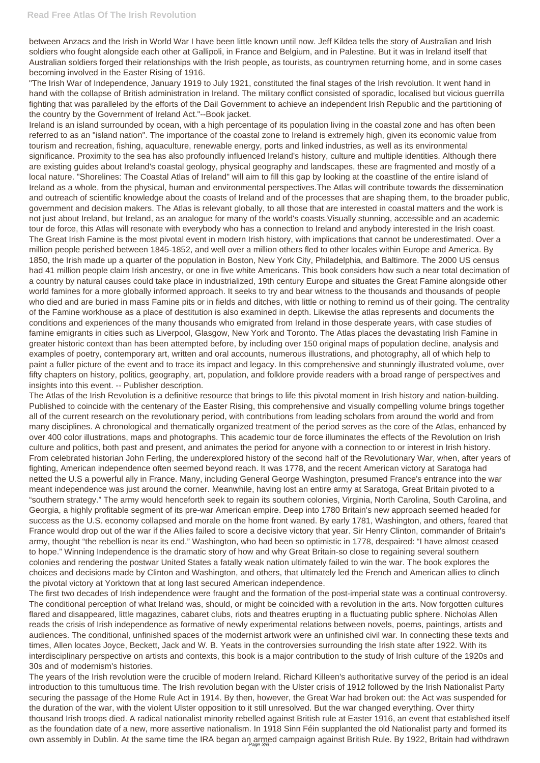between Anzacs and the Irish in World War I have been little known until now. Jeff Kildea tells the story of Australian and Irish soldiers who fought alongside each other at Gallipoli, in France and Belgium, and in Palestine. But it was in Ireland itself that Australian soldiers forged their relationships with the Irish people, as tourists, as countrymen returning home, and in some cases becoming involved in the Easter Rising of 1916.

"The Irish War of Independence, January 1919 to July 1921, constituted the final stages of the Irish revolution. It went hand in hand with the collapse of British administration in Ireland. The military conflict consisted of sporadic, localised but vicious guerrilla fighting that was paralleled by the efforts of the Dail Government to achieve an independent Irish Republic and the partitioning of the country by the Government of Ireland Act."--Book jacket.

The Atlas of the Irish Revolution is a definitive resource that brings to life this pivotal moment in Irish history and nation-building. Published to coincide with the centenary of the Easter Rising, this comprehensive and visually compelling volume brings together all of the current research on the revolutionary period, with contributions from leading scholars from around the world and from many disciplines. A chronological and thematically organized treatment of the period serves as the core of the Atlas, enhanced by over 400 color illustrations, maps and photographs. This academic tour de force illuminates the effects of the Revolution on Irish culture and politics, both past and present, and animates the period for anyone with a connection to or interest in Irish history. From celebrated historian John Ferling, the underexplored history of the second half of the Revolutionary War, when, after years of fighting, American independence often seemed beyond reach. It was 1778, and the recent American victory at Saratoga had netted the U.S a powerful ally in France. Many, including General George Washington, presumed France's entrance into the war meant independence was just around the corner. Meanwhile, having lost an entire army at Saratoga, Great Britain pivoted to a "southern strategy." The army would henceforth seek to regain its southern colonies, Virginia, North Carolina, South Carolina, and Georgia, a highly profitable segment of its pre-war American empire. Deep into 1780 Britain's new approach seemed headed for success as the U.S. economy collapsed and morale on the home front waned. By early 1781, Washington, and others, feared that France would drop out of the war if the Allies failed to score a decisive victory that year. Sir Henry Clinton, commander of Britain's army, thought "the rebellion is near its end." Washington, who had been so optimistic in 1778, despaired: "I have almost ceased to hope." Winning Independence is the dramatic story of how and why Great Britain-so close to regaining several southern colonies and rendering the postwar United States a fatally weak nation ultimately failed to win the war. The book explores the choices and decisions made by Clinton and Washington, and others, that ultimately led the French and American allies to clinch the pivotal victory at Yorktown that at long last secured American independence. The first two decades of Irish independence were fraught and the formation of the post-imperial state was a continual controversy. The conditional perception of what Ireland was, should, or might be coincided with a revolution in the arts. Now forgotten cultures flared and disappeared, little magazines, cabaret clubs, riots and theatres erupting in a fluctuating public sphere. Nicholas Allen reads the crisis of Irish independence as formative of newly experimental relations between novels, poems, paintings, artists and audiences. The conditional, unfinished spaces of the modernist artwork were an unfinished civil war. In connecting these texts and times, Allen locates Joyce, Beckett, Jack and W. B. Yeats in the controversies surrounding the Irish state after 1922. With its interdisciplinary perspective on artists and contexts, this book is a major contribution to the study of Irish culture of the 1920s and 30s and of modernism's histories. The years of the Irish revolution were the crucible of modern Ireland. Richard Killeen's authoritative survey of the period is an ideal introduction to this tumultuous time. The Irish revolution began with the Ulster crisis of 1912 followed by the Irish Nationalist Party securing the passage of the Home Rule Act in 1914. By then, however, the Great War had broken out: the Act was suspended for the duration of the war, with the violent Ulster opposition to it still unresolved. But the war changed everything. Over thirty thousand Irish troops died. A radical nationalist minority rebelled against British rule at Easter 1916, an event that established itself as the foundation date of a new, more assertive nationalism. In 1918 Sinn Féin supplanted the old Nationalist party and formed its own assembly in Dublin. At the same time the IRA began an armed campaign against British Rule. By 1922, Britain had withdrawn

Ireland is an island surrounded by ocean, with a high percentage of its population living in the coastal zone and has often been referred to as an "island nation". The importance of the coastal zone to Ireland is extremely high, given its economic value from tourism and recreation, fishing, aquaculture, renewable energy, ports and linked industries, as well as its environmental significance. Proximity to the sea has also profoundly influenced Ireland's history, culture and multiple identities. Although there are existing guides about Ireland's coastal geology, physical geography and landscapes, these are fragmented and mostly of a local nature. "Shorelines: The Coastal Atlas of Ireland" will aim to fill this gap by looking at the coastline of the entire island of Ireland as a whole, from the physical, human and environmental perspectives.The Atlas will contribute towards the dissemination and outreach of scientific knowledge about the coasts of Ireland and of the processes that are shaping them, to the broader public, government and decision makers. The Atlas is relevant globally, to all those that are interested in coastal matters and the work is not just about Ireland, but Ireland, as an analogue for many of the world's coasts.Visually stunning, accessible and an academic tour de force, this Atlas will resonate with everybody who has a connection to Ireland and anybody interested in the Irish coast. The Great Irish Famine is the most pivotal event in modern Irish history, with implications that cannot be underestimated. Over a million people perished between 1845-1852, and well over a million others fled to other locales within Europe and America. By 1850, the Irish made up a quarter of the population in Boston, New York City, Philadelphia, and Baltimore. The 2000 US census had 41 million people claim Irish ancestry, or one in five white Americans. This book considers how such a near total decimation of a country by natural causes could take place in industrialized, 19th century Europe and situates the Great Famine alongside other world famines for a more globally informed approach. It seeks to try and bear witness to the thousands and thousands of people who died and are buried in mass Famine pits or in fields and ditches, with little or nothing to remind us of their going. The centrality of the Famine workhouse as a place of destitution is also examined in depth. Likewise the atlas represents and documents the conditions and experiences of the many thousands who emigrated from Ireland in those desperate years, with case studies of famine emigrants in cities such as Liverpool, Glasgow, New York and Toronto. The Atlas places the devastating Irish Famine in greater historic context than has been attempted before, by including over 150 original maps of population decline, analysis and examples of poetry, contemporary art, written and oral accounts, numerous illustrations, and photography, all of which help to paint a fuller picture of the event and to trace its impact and legacy. In this comprehensive and stunningly illustrated volume, over fifty chapters on history, politics, geography, art, population, and folklore provide readers with a broad range of perspectives and insights into this event. -- Publisher description.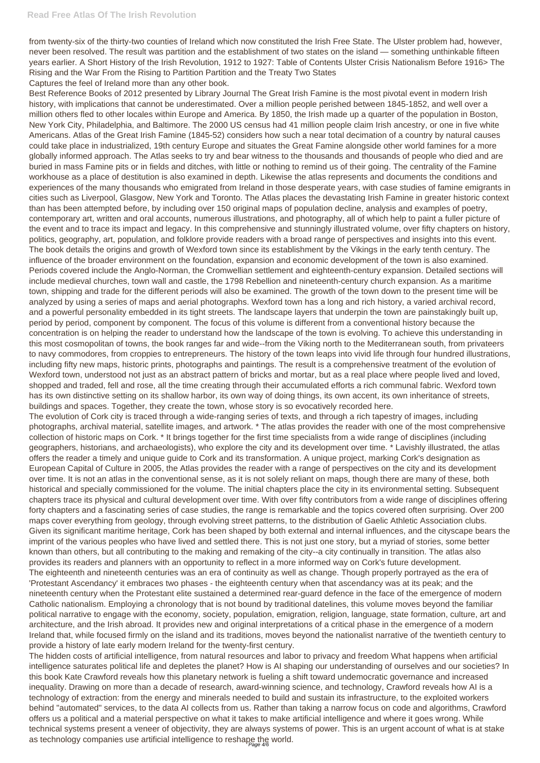from twenty-six of the thirty-two counties of Ireland which now constituted the Irish Free State. The Ulster problem had, however, never been resolved. The result was partition and the establishment of two states on the island — something unthinkable fifteen years earlier. A Short History of the Irish Revolution, 1912 to 1927: Table of Contents Ulster Crisis Nationalism Before 1916> The Rising and the War From the Rising to Partition Partition and the Treaty Two States Captures the feel of Ireland more than any other book.

The evolution of Cork city is traced through a wide-ranging series of texts, and through a rich tapestry of images, including photographs, archival material, satellite images, and artwork. \* The atlas provides the reader with one of the most comprehensive collection of historic maps on Cork. \* It brings together for the first time specialists from a wide range of disciplines (including geographers, historians, and archaeologists), who explore the city and its development over time. \* Lavishly illustrated, the atlas offers the reader a timely and unique guide to Cork and its transformation. A unique project, marking Cork's designation as European Capital of Culture in 2005, the Atlas provides the reader with a range of perspectives on the city and its development over time. It is not an atlas in the conventional sense, as it is not solely reliant on maps, though there are many of these, both historical and specially commissioned for the volume. The initial chapters place the city in its environmental setting. Subsequent chapters trace its physical and cultural development over time. With over fifty contributors from a wide range of disciplines offering forty chapters and a fascinating series of case studies, the range is remarkable and the topics covered often surprising. Over 200 maps cover everything from geology, through evolving street patterns, to the distribution of Gaelic Athletic Association clubs. Given its significant maritime heritage, Cork has been shaped by both external and internal influences, and the cityscape bears the imprint of the various peoples who have lived and settled there. This is not just one story, but a myriad of stories, some better known than others, but all contributing to the making and remaking of the city--a city continually in transition. The atlas also provides its readers and planners with an opportunity to reflect in a more informed way on Cork's future development. The eighteenth and nineteenth centuries was an era of continuity as well as change. Though properly portrayed as the era of 'Protestant Ascendancy' it embraces two phases - the eighteenth century when that ascendancy was at its peak; and the nineteenth century when the Protestant elite sustained a determined rear-guard defence in the face of the emergence of modern Catholic nationalism. Employing a chronology that is not bound by traditional datelines, this volume moves beyond the familiar political narrative to engage with the economy, society, population, emigration, religion, language, state formation, culture, art and architecture, and the Irish abroad. It provides new and original interpretations of a critical phase in the emergence of a modern Ireland that, while focused firmly on the island and its traditions, moves beyond the nationalist narrative of the twentieth century to provide a history of late early modern Ireland for the twenty-first century. The hidden costs of artificial intelligence, from natural resources and labor to privacy and freedom What happens when artificial intelligence saturates political life and depletes the planet? How is AI shaping our understanding of ourselves and our societies? In this book Kate Crawford reveals how this planetary network is fueling a shift toward undemocratic governance and increased inequality. Drawing on more than a decade of research, award-winning science, and technology, Crawford reveals how AI is a technology of extraction: from the energy and minerals needed to build and sustain its infrastructure, to the exploited workers behind "automated" services, to the data AI collects from us. Rather than taking a narrow focus on code and algorithms, Crawford offers us a political and a material perspective on what it takes to make artificial intelligence and where it goes wrong. While technical systems present a veneer of objectivity, they are always systems of power. This is an urgent account of what is at stake as technology companies use artificial intelligence to reshape the world.

Best Reference Books of 2012 presented by Library Journal The Great Irish Famine is the most pivotal event in modern Irish history, with implications that cannot be underestimated. Over a million people perished between 1845-1852, and well over a million others fled to other locales within Europe and America. By 1850, the Irish made up a quarter of the population in Boston, New York City, Philadelphia, and Baltimore. The 2000 US census had 41 million people claim Irish ancestry, or one in five white Americans. Atlas of the Great Irish Famine (1845-52) considers how such a near total decimation of a country by natural causes could take place in industrialized, 19th century Europe and situates the Great Famine alongside other world famines for a more globally informed approach. The Atlas seeks to try and bear witness to the thousands and thousands of people who died and are buried in mass Famine pits or in fields and ditches, with little or nothing to remind us of their going. The centrality of the Famine workhouse as a place of destitution is also examined in depth. Likewise the atlas represents and documents the conditions and experiences of the many thousands who emigrated from Ireland in those desperate years, with case studies of famine emigrants in cities such as Liverpool, Glasgow, New York and Toronto. The Atlas places the devastating Irish Famine in greater historic context than has been attempted before, by including over 150 original maps of population decline, analysis and examples of poetry, contemporary art, written and oral accounts, numerous illustrations, and photography, all of which help to paint a fuller picture of the event and to trace its impact and legacy. In this comprehensive and stunningly illustrated volume, over fifty chapters on history, politics, geography, art, population, and folklore provide readers with a broad range of perspectives and insights into this event. The book details the origins and growth of Wexford town since its establishment by the Vikings in the early tenth century. The influence of the broader environment on the foundation, expansion and economic development of the town is also examined. Periods covered include the Anglo-Norman, the Cromwellian settlement and eighteenth-century expansion. Detailed sections will include medieval churches, town wall and castle, the 1798 Rebellion and nineteenth-century church expansion. As a maritime town, shipping and trade for the different periods will also be examined. The growth of the town down to the present time will be analyzed by using a series of maps and aerial photographs. Wexford town has a long and rich history, a varied archival record, and a powerful personality embedded in its tight streets. The landscape layers that underpin the town are painstakingly built up, period by period, component by component. The focus of this volume is different from a conventional history because the concentration is on helping the reader to understand how the landscape of the town is evolving. To achieve this understanding in this most cosmopolitan of towns, the book ranges far and wide--from the Viking north to the Mediterranean south, from privateers to navy commodores, from croppies to entrepreneurs. The history of the town leaps into vivid life through four hundred illustrations, including fifty new maps, historic prints, photographs and paintings. The result is a comprehensive treatment of the evolution of Wexford town, understood not just as an abstract pattern of bricks and mortar, but as a real place where people lived and loved, shopped and traded, fell and rose, all the time creating through their accumulated efforts a rich communal fabric. Wexford town has its own distinctive setting on its shallow harbor, its own way of doing things, its own accent, its own inheritance of streets, buildings and spaces. Together, they create the town, whose story is so evocatively recorded here.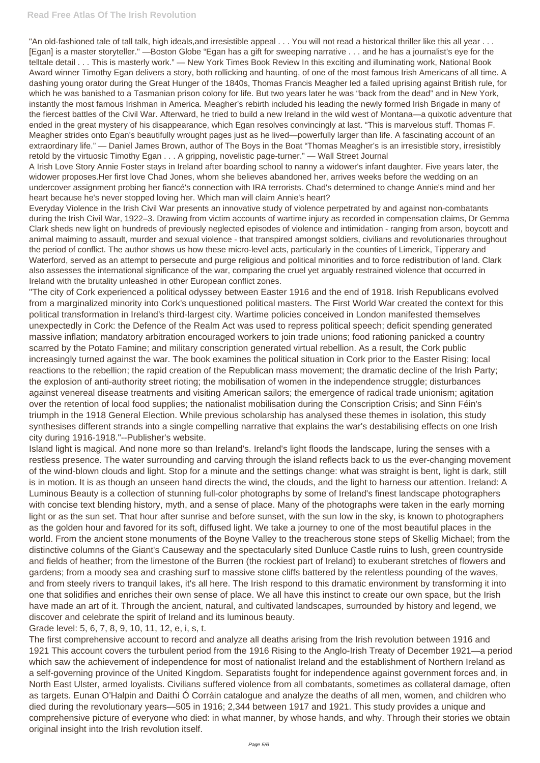"An old-fashioned tale of tall talk, high ideals, and irresistible appeal . . . You will not read a historical thriller like this all year . . . [Egan] is a master storyteller." —Boston Globe "Egan has a gift for sweeping narrative . . . and he has a journalist's eye for the telltale detail . . . This is masterly work." — New York Times Book Review In this exciting and illuminating work, National Book Award winner Timothy Egan delivers a story, both rollicking and haunting, of one of the most famous Irish Americans of all time. A dashing young orator during the Great Hunger of the 1840s, Thomas Francis Meagher led a failed uprising against British rule, for which he was banished to a Tasmanian prison colony for life. But two years later he was "back from the dead" and in New York, instantly the most famous Irishman in America. Meagher's rebirth included his leading the newly formed Irish Brigade in many of the fiercest battles of the Civil War. Afterward, he tried to build a new Ireland in the wild west of Montana—a quixotic adventure that ended in the great mystery of his disappearance, which Egan resolves convincingly at last. "This is marvelous stuff. Thomas F. Meagher strides onto Egan's beautifully wrought pages just as he lived—powerfully larger than life. A fascinating account of an extraordinary life." — Daniel James Brown, author of The Boys in the Boat "Thomas Meagher's is an irresistible story, irresistibly retold by the virtuosic Timothy Egan . . . A gripping, novelistic page-turner." — Wall Street Journal

A Irish Love Story Annie Foster stays in Ireland after boarding school to nanny a widower's infant daughter. Five years later, the widower proposes.Her first love Chad Jones, whom she believes abandoned her, arrives weeks before the wedding on an undercover assignment probing her fiancé's connection with IRA terrorists. Chad's determined to change Annie's mind and her heart because he's never stopped loving her. Which man will claim Annie's heart?

Everyday Violence in the Irish Civil War presents an innovative study of violence perpetrated by and against non-combatants during the Irish Civil War, 1922–3. Drawing from victim accounts of wartime injury as recorded in compensation claims, Dr Gemma Clark sheds new light on hundreds of previously neglected episodes of violence and intimidation - ranging from arson, boycott and animal maiming to assault, murder and sexual violence - that transpired amongst soldiers, civilians and revolutionaries throughout the period of conflict. The author shows us how these micro-level acts, particularly in the counties of Limerick, Tipperary and Waterford, served as an attempt to persecute and purge religious and political minorities and to force redistribution of land. Clark also assesses the international significance of the war, comparing the cruel yet arguably restrained violence that occurred in Ireland with the brutality unleashed in other European conflict zones.

"The city of Cork experienced a political odyssey between Easter 1916 and the end of 1918. Irish Republicans evolved from a marginalized minority into Cork's unquestioned political masters. The First World War created the context for this political transformation in Ireland's third-largest city. Wartime policies conceived in London manifested themselves unexpectedly in Cork: the Defence of the Realm Act was used to repress political speech; deficit spending generated massive inflation; mandatory arbitration encouraged workers to join trade unions; food rationing panicked a country scarred by the Potato Famine; and military conscription generated virtual rebellion. As a result, the Cork public increasingly turned against the war. The book examines the political situation in Cork prior to the Easter Rising; local reactions to the rebellion; the rapid creation of the Republican mass movement; the dramatic decline of the Irish Party; the explosion of anti-authority street rioting; the mobilisation of women in the independence struggle; disturbances against venereal disease treatments and visiting American sailors; the emergence of radical trade unionism; agitation over the retention of local food supplies; the nationalist mobilisation during the Conscription Crisis; and Sinn Féin's triumph in the 1918 General Election. While previous scholarship has analysed these themes in isolation, this study synthesises different strands into a single compelling narrative that explains the war's destabilising effects on one Irish city during 1916-1918."--Publisher's website.

Island light is magical. And none more so than Ireland's. Ireland's light floods the landscape, luring the senses with a restless presence. The water surrounding and carving through the island reflects back to us the ever-changing movement of the wind-blown clouds and light. Stop for a minute and the settings change: what was straight is bent, light is dark, still is in motion. It is as though an unseen hand directs the wind, the clouds, and the light to harness our attention. Ireland: A Luminous Beauty is a collection of stunning full-color photographs by some of Ireland's finest landscape photographers with concise text blending history, myth, and a sense of place. Many of the photographs were taken in the early morning light or as the sun set. That hour after sunrise and before sunset, with the sun low in the sky, is known to photographers as the golden hour and favored for its soft, diffused light. We take a journey to one of the most beautiful places in the world. From the ancient stone monuments of the Boyne Valley to the treacherous stone steps of Skellig Michael; from the distinctive columns of the Giant's Causeway and the spectacularly sited Dunluce Castle ruins to lush, green countryside and fields of heather; from the limestone of the Burren (the rockiest part of Ireland) to exuberant stretches of flowers and gardens; from a moody sea and crashing surf to massive stone cliffs battered by the relentless pounding of the waves, and from steely rivers to tranquil lakes, it's all here. The Irish respond to this dramatic environment by transforming it into one that solidifies and enriches their own sense of place. We all have this instinct to create our own space, but the Irish have made an art of it. Through the ancient, natural, and cultivated landscapes, surrounded by history and legend, we discover and celebrate the spirit of Ireland and its luminous beauty.

Grade level: 5, 6, 7, 8, 9, 10, 11, 12, e, i, s, t.

The first comprehensive account to record and analyze all deaths arising from the Irish revolution between 1916 and 1921 This account covers the turbulent period from the 1916 Rising to the Anglo-Irish Treaty of December 1921—a period which saw the achievement of independence for most of nationalist Ireland and the establishment of Northern Ireland as a self-governing province of the United Kingdom. Separatists fought for independence against government forces and, in North East Ulster, armed loyalists. Civilians suffered violence from all combatants, sometimes as collateral damage, often as targets. Eunan O'Halpin and Daithí Ó Corráin catalogue and analyze the deaths of all men, women, and children who died during the revolutionary years—505 in 1916; 2,344 between 1917 and 1921. This study provides a unique and comprehensive picture of everyone who died: in what manner, by whose hands, and why. Through their stories we obtain original insight into the Irish revolution itself.